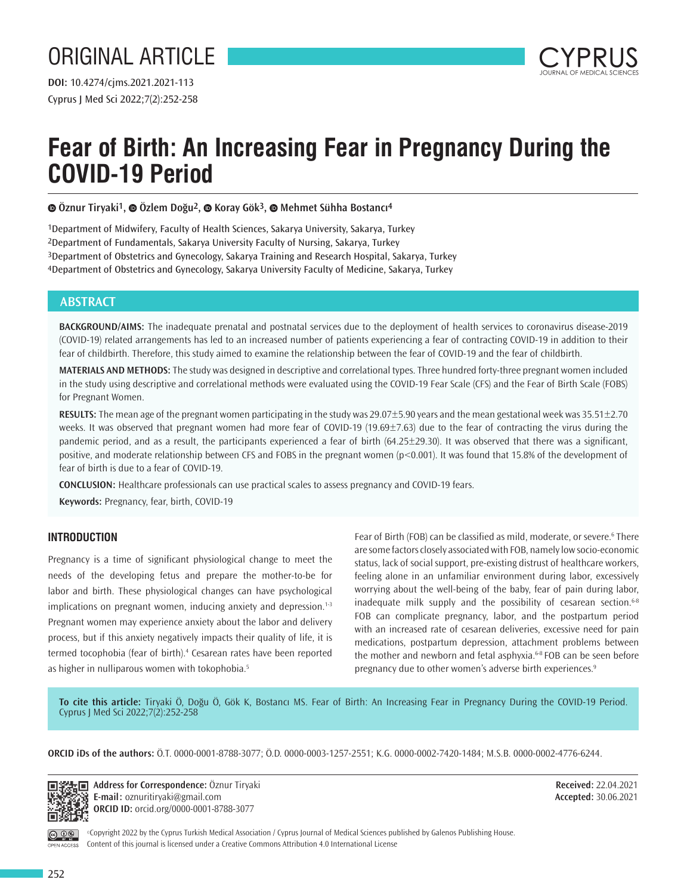

# **Fear of Birth: An Increasing Fear in Pregnancy During the COVID-19 Period**

**Öznur Tiryaki1,Özlem Doğu2,Koray Gök3,Mehmet Sühha Bostancı4**

1Department of Midwifery, Faculty of Health Sciences, Sakarya University, Sakarya, Turkey 2Department of Fundamentals, Sakarya University Faculty of Nursing, Sakarya, Turkey 3Department of Obstetrics and Gynecology, Sakarya Training and Research Hospital, Sakarya, Turkey 4Department of Obstetrics and Gynecology, Sakarya University Faculty of Medicine, Sakarya, Turkey

# **ABSTRACT**

**BACKGROUND/AIMS:** The inadequate prenatal and postnatal services due to the deployment of health services to coronavirus disease-2019 (COVID-19) related arrangements has led to an increased number of patients experiencing a fear of contracting COVID-19 in addition to their fear of childbirth. Therefore, this study aimed to examine the relationship between the fear of COVID-19 and the fear of childbirth.

**MATERIALS AND METHODS:** The study was designed in descriptive and correlational types. Three hundred forty-three pregnant women included in the study using descriptive and correlational methods were evaluated using the COVID-19 Fear Scale (CFS) and the Fear of Birth Scale (FOBS) for Pregnant Women.

**RESULTS:** The mean age of the pregnant women participating in the study was 29.07±5.90 years and the mean gestational week was 35.51±2.70 weeks. It was observed that pregnant women had more fear of COVID-19 (19.69±7.63) due to the fear of contracting the virus during the pandemic period, and as a result, the participants experienced a fear of birth  $(64.25\pm 29.30)$ . It was observed that there was a significant, positive, and moderate relationship between CFS and FOBS in the pregnant women ( $p<0.001$ ). It was found that 15.8% of the development of fear of birth is due to a fear of COVID-19.

**CONCLUSION:** Healthcare professionals can use practical scales to assess pregnancy and COVID-19 fears.

**Keywords:** Pregnancy, fear, birth, COVID-19

## **INTRODUCTION**

Pregnancy is a time of significant physiological change to meet the needs of the developing fetus and prepare the mother-to-be for labor and birth. These physiological changes can have psychological implications on pregnant women, inducing anxiety and depression.<sup>1-3</sup> Pregnant women may experience anxiety about the labor and delivery process, but if this anxiety negatively impacts their quality of life, it is termed tocophobia (fear of birth).<sup>4</sup> Cesarean rates have been reported as higher in nulliparous women with tokophobia.<sup>5</sup>

Fear of Birth (FOB) can be classified as mild, moderate, or severe.<sup>6</sup> There are some factors closely associated with FOB, namely low socio-economic status, lack of social support, pre-existing distrust of healthcare workers, feeling alone in an unfamiliar environment during labor, excessively worrying about the well-being of the baby, fear of pain during labor, inadequate milk supply and the possibility of cesarean section. $6-8$ FOB can complicate pregnancy, labor, and the postpartum period with an increased rate of cesarean deliveries, excessive need for pain medications, postpartum depression, attachment problems between the mother and newborn and fetal asphyxia.<sup>6-8</sup> FOB can be seen before pregnancy due to other women's adverse birth experiences.<sup>9</sup>

**To cite this article:** Tiryaki Ö, Doğu Ö, Gök K, Bostancı MS. Fear of Birth: An Increasing Fear in Pregnancy During the COVID-19 Period. Cyprus J Med Sci 2022;7(2):252-258

**ORCID iDs of the authors:** Ö.T. 0000-0001-8788-3077; Ö.D. 0000-0003-1257-2551; K.G. 0000-0002-7420-1484; M.S.B. 0000-0002-4776-6244.



**学生回 Address for Correspondence: Öznur Tiryaki E-mail:** oznuritiryaki@gmail.com **ORCID ID:** orcid.org/0000-0001-8788-3077

**Received:** 22.04.2021 **Accepted:** 30.06.2021

OPEN ACCESS

©Copyright 2022 by the Cyprus Turkish Medical Association / Cyprus Journal of Medical Sciences published by Galenos Publishing House. Content of this journal is licensed under a Creative Commons Attribution 4.0 International License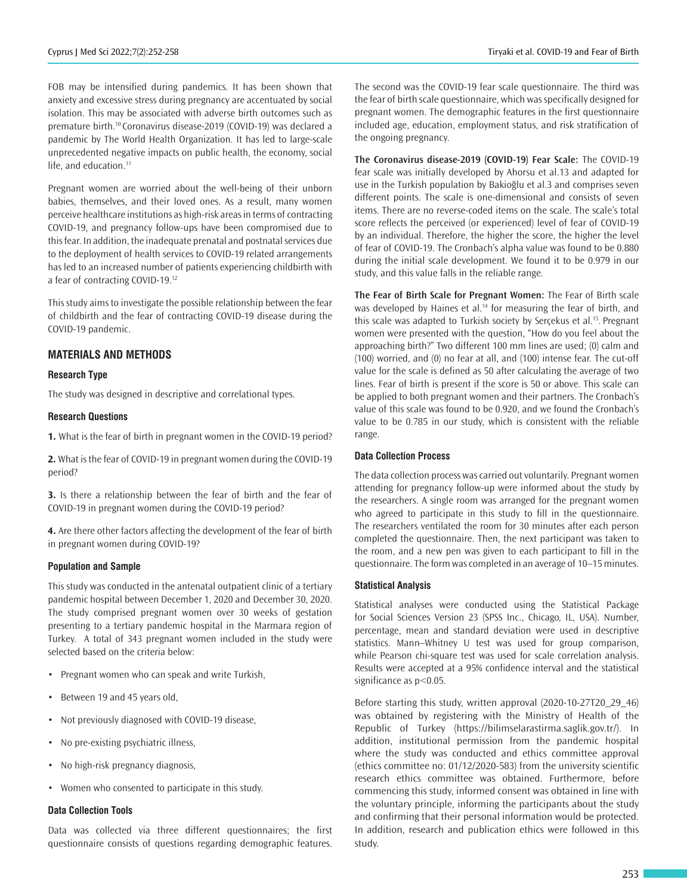FOB may be intensified during pandemics. It has been shown that anxiety and excessive stress during pregnancy are accentuated by social isolation. This may be associated with adverse birth outcomes such as premature birth.<sup>10</sup> Coronavirus disease-2019 (COVID-19) was declared a pandemic by The World Health Organization. It has led to large-scale unprecedented negative impacts on public health, the economy, social life, and education.<sup>11</sup>

Pregnant women are worried about the well-being of their unborn babies, themselves, and their loved ones. As a result, many women perceive healthcare institutions as high-risk areas in terms of contracting COVID-19, and pregnancy follow-ups have been compromised due to this fear. In addition, the inadequate prenatal and postnatal services due to the deployment of health services to COVID-19 related arrangements has led to an increased number of patients experiencing childbirth with a fear of contracting COVID-19.<sup>12</sup>

This study aims to investigate the possible relationship between the fear of childbirth and the fear of contracting COVID-19 disease during the COVID-19 pandemic.

## **MATERIALS AND METHODS**

#### **Research Type**

The study was designed in descriptive and correlational types.

#### **Research Questions**

**1.** What is the fear of birth in pregnant women in the COVID-19 period?

**2.** What is the fear of COVID-19 in pregnant women during the COVID-19 period?

**3.** Is there a relationship between the fear of birth and the fear of COVID-19 in pregnant women during the COVID-19 period?

**4.** Are there other factors affecting the development of the fear of birth in pregnant women during COVID-19?

#### **Population and Sample**

This study was conducted in the antenatal outpatient clinic of a tertiary pandemic hospital between December 1, 2020 and December 30, 2020. The study comprised pregnant women over 30 weeks of gestation presenting to a tertiary pandemic hospital in the Marmara region of Turkey. A total of 343 pregnant women included in the study were selected based on the criteria below:

- Pregnant women who can speak and write Turkish,
- Between 19 and 45 years old,
- Not previously diagnosed with COVID-19 disease,
- No pre-existing psychiatric illness,
- No high-risk pregnancy diagnosis,
- Women who consented to participate in this study.

#### **Data Collection Tools**

Data was collected via three different questionnaires; the first questionnaire consists of questions regarding demographic features.

The second was the COVID-19 fear scale questionnaire. The third was the fear of birth scale questionnaire, which was specifically designed for pregnant women. The demographic features in the first questionnaire included age, education, employment status, and risk stratification of the ongoing pregnancy.

**The Coronavirus disease-2019 (COVID-19) Fear Scale:** The COVID-19 fear scale was initially developed by Ahorsu et al.13 and adapted for use in the Turkish population by Bakioğlu et al.3 and comprises seven different points. The scale is one-dimensional and consists of seven items. There are no reverse-coded items on the scale. The scale's total score reflects the perceived (or experienced) level of fear of COVID-19 by an individual. Therefore, the higher the score, the higher the level of fear of COVID-19. The Cronbach's alpha value was found to be 0.880 during the initial scale development. We found it to be 0.979 in our study, and this value falls in the reliable range.

**The Fear of Birth Scale for Pregnant Women:** The Fear of Birth scale was developed by Haines et al.<sup>14</sup> for measuring the fear of birth, and this scale was adapted to Turkish society by Serçekus et al.<sup>15</sup>. Pregnant women were presented with the question, "How do you feel about the approaching birth?" Two different 100 mm lines are used; (0) calm and (100) worried, and (0) no fear at all, and (100) intense fear. The cut-off value for the scale is defined as 50 after calculating the average of two lines. Fear of birth is present if the score is 50 or above. This scale can be applied to both pregnant women and their partners. The Cronbach's value of this scale was found to be 0.920, and we found the Cronbach's value to be 0.785 in our study, which is consistent with the reliable range.

#### **Data Collection Process**

The data collection process was carried out voluntarily. Pregnant women attending for pregnancy follow-up were informed about the study by the researchers. A single room was arranged for the pregnant women who agreed to participate in this study to fill in the questionnaire. The researchers ventilated the room for 30 minutes after each person completed the questionnaire. Then, the next participant was taken to the room, and a new pen was given to each participant to fill in the questionnaire. The form was completed in an average of 10–15 minutes.

#### **Statistical Analysis**

Statistical analyses were conducted using the Statistical Package for Social Sciences Version 23 (SPSS Inc., Chicago, IL, USA). Number, percentage, mean and standard deviation were used in descriptive statistics. Mann–Whitney U test was used for group comparison, while Pearson chi-square test was used for scale correlation analysis. Results were accepted at a 95% confidence interval and the statistical significance as p<0.05.

Before starting this study, written approval (2020-10-27T20\_29\_46) was obtained by registering with the Ministry of Health of the Republic of Turkey (https://bilimselarastirma.saglik.gov.tr/). In addition, institutional permission from the pandemic hospital where the study was conducted and ethics committee approval (ethics committee no: 01/12/2020-583) from the university scientific research ethics committee was obtained. Furthermore, before commencing this study, informed consent was obtained in line with the voluntary principle, informing the participants about the study and confirming that their personal information would be protected. In addition, research and publication ethics were followed in this study.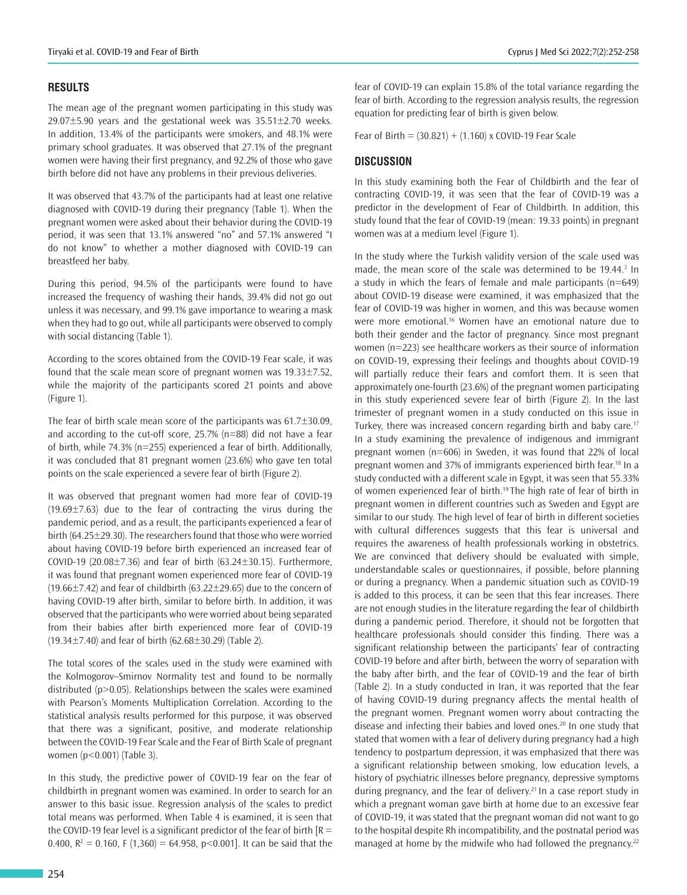## **RESULTS**

The mean age of the pregnant women participating in this study was  $29.07\pm5.90$  years and the gestational week was  $35.51\pm2.70$  weeks. In addition, 13.4% of the participants were smokers, and 48.1% were primary school graduates. It was observed that 27.1% of the pregnant women were having their first pregnancy, and 92.2% of those who gave birth before did not have any problems in their previous deliveries.

It was observed that 43.7% of the participants had at least one relative diagnosed with COVID-19 during their pregnancy (Table 1). When the pregnant women were asked about their behavior during the COVID-19 period, it was seen that 13.1% answered "no" and 57.1% answered "I do not know" to whether a mother diagnosed with COVID-19 can breastfeed her baby.

During this period, 94.5% of the participants were found to have increased the frequency of washing their hands, 39.4% did not go out unless it was necessary, and 99.1% gave importance to wearing a mask when they had to go out, while all participants were observed to comply with social distancing (Table 1).

According to the scores obtained from the COVID-19 Fear scale, it was found that the scale mean score of pregnant women was 19.33±7.52, while the majority of the participants scored 21 points and above (Figure 1).

The fear of birth scale mean score of the participants was  $61.7 \pm 30.09$ , and according to the cut-off score, 25.7% (n=88) did not have a fear of birth, while 74.3% (n=255) experienced a fear of birth. Additionally, it was concluded that 81 pregnant women (23.6%) who gave ten total points on the scale experienced a severe fear of birth (Figure 2).

It was observed that pregnant women had more fear of COVID-19  $(19.69\pm7.63)$  due to the fear of contracting the virus during the pandemic period, and as a result, the participants experienced a fear of birth (64.25±29.30). The researchers found that those who were worried about having COVID-19 before birth experienced an increased fear of COVID-19 (20.08 $\pm$ 7.36) and fear of birth (63.24 $\pm$ 30.15). Furthermore, it was found that pregnant women experienced more fear of COVID-19 (19.66 $\pm$ 7.42) and fear of childbirth (63.22 $\pm$ 29.65) due to the concern of having COVID-19 after birth, similar to before birth. In addition, it was observed that the participants who were worried about being separated from their babies after birth experienced more fear of COVID-19 (19.34 $\pm$ 7.40) and fear of birth (62.68 $\pm$ 30.29) (Table 2).

The total scores of the scales used in the study were examined with the Kolmogorov–Smirnov Normality test and found to be normally distributed (p>0.05). Relationships between the scales were examined with Pearson's Moments Multiplication Correlation. According to the statistical analysis results performed for this purpose, it was observed that there was a significant, positive, and moderate relationship between the COVID-19 Fear Scale and the Fear of Birth Scale of pregnant women (p<0.001) (Table 3).

In this study, the predictive power of COVID-19 fear on the fear of childbirth in pregnant women was examined. In order to search for an answer to this basic issue. Regression analysis of the scales to predict total means was performed. When Table 4 is examined, it is seen that the COVID-19 fear level is a significant predictor of the fear of birth  $[R =$ 0.400,  $R^2 = 0.160$ , F (1,360) = 64.958, p<0.001]. It can be said that the

fear of COVID-19 can explain 15.8% of the total variance regarding the fear of birth. According to the regression analysis results, the regression equation for predicting fear of birth is given below.

Fear of Birth =  $(30.821) + (1.160)$  x COVID-19 Fear Scale

## **DISCUSSION**

In this study examining both the Fear of Childbirth and the fear of contracting COVID-19, it was seen that the fear of COVID-19 was a predictor in the development of Fear of Childbirth. In addition, this study found that the fear of COVID-19 (mean: 19.33 points) in pregnant women was at a medium level (Figure 1).

In the study where the Turkish validity version of the scale used was made, the mean score of the scale was determined to be  $19.44$ .<sup>3</sup> In a study in which the fears of female and male participants (n=649) about COVID-19 disease were examined, it was emphasized that the fear of COVID-19 was higher in women, and this was because women were more emotional.<sup>16</sup> Women have an emotional nature due to both their gender and the factor of pregnancy. Since most pregnant women (n=223) see healthcare workers as their source of information on COVID-19, expressing their feelings and thoughts about COVID-19 will partially reduce their fears and comfort them. It is seen that approximately one-fourth (23.6%) of the pregnant women participating in this study experienced severe fear of birth (Figure 2). In the last trimester of pregnant women in a study conducted on this issue in Turkey, there was increased concern regarding birth and baby care.<sup>17</sup> In a study examining the prevalence of indigenous and immigrant pregnant women (n=606) in Sweden, it was found that 22% of local pregnant women and 37% of immigrants experienced birth fear.<sup>18</sup> In a study conducted with a different scale in Egypt, it was seen that 55.33% of women experienced fear of birth.<sup>19</sup> The high rate of fear of birth in pregnant women in different countries such as Sweden and Egypt are similar to our study. The high level of fear of birth in different societies with cultural differences suggests that this fear is universal and requires the awareness of health professionals working in obstetrics. We are convinced that delivery should be evaluated with simple, understandable scales or questionnaires, if possible, before planning or during a pregnancy. When a pandemic situation such as COVID-19 is added to this process, it can be seen that this fear increases. There are not enough studies in the literature regarding the fear of childbirth during a pandemic period. Therefore, it should not be forgotten that healthcare professionals should consider this finding. There was a significant relationship between the participants' fear of contracting COVID-19 before and after birth, between the worry of separation with the baby after birth, and the fear of COVID-19 and the fear of birth (Table 2). In a study conducted in Iran, it was reported that the fear of having COVID-19 during pregnancy affects the mental health of the pregnant women. Pregnant women worry about contracting the disease and infecting their babies and loved ones.<sup>20</sup> In one study that stated that women with a fear of delivery during pregnancy had a high tendency to postpartum depression, it was emphasized that there was a significant relationship between smoking, low education levels, a history of psychiatric illnesses before pregnancy, depressive symptoms during pregnancy, and the fear of delivery.<sup>21</sup> In a case report study in which a pregnant woman gave birth at home due to an excessive fear of COVID-19, it was stated that the pregnant woman did not want to go to the hospital despite Rh incompatibility, and the postnatal period was managed at home by the midwife who had followed the pregnancy. $22$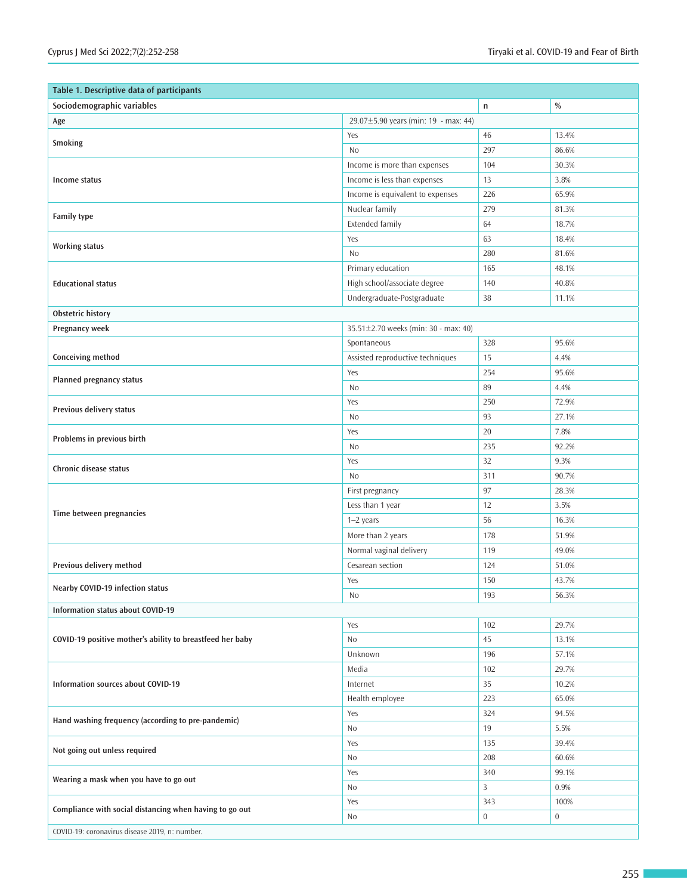| Table 1. Descriptive data of participants                 |                                      |             |             |  |  |  |
|-----------------------------------------------------------|--------------------------------------|-------------|-------------|--|--|--|
| Sociodemographic variables                                | $\mathsf{n}$                         | $\%$        |             |  |  |  |
| Age                                                       | 29.07±5.90 years (min: 19 - max: 44) |             |             |  |  |  |
| <b>Smoking</b>                                            | Yes                                  | 46          | 13.4%       |  |  |  |
|                                                           | No                                   | 297         | 86.6%       |  |  |  |
|                                                           | Income is more than expenses         | 104         | 30.3%       |  |  |  |
| Income status                                             | Income is less than expenses         | 13          | 3.8%        |  |  |  |
|                                                           | Income is equivalent to expenses     | 226         | 65.9%       |  |  |  |
| <b>Family type</b>                                        | Nuclear family                       | 279         | 81.3%       |  |  |  |
|                                                           | <b>Extended family</b>               | 64          | 18.7%       |  |  |  |
| <b>Working status</b>                                     | Yes                                  | 63          | 18.4%       |  |  |  |
|                                                           | No                                   | 280         | 81.6%       |  |  |  |
|                                                           | Primary education                    | 165         | 48.1%       |  |  |  |
| <b>Educational status</b>                                 | High school/associate degree         | 140         | 40.8%       |  |  |  |
|                                                           | Undergraduate-Postgraduate           | 38          | 11.1%       |  |  |  |
| Obstetric history                                         |                                      |             |             |  |  |  |
| Pregnancy week                                            | 35.51±2.70 weeks (min: 30 - max: 40) |             |             |  |  |  |
|                                                           | Spontaneous                          | 328         | 95.6%       |  |  |  |
| Conceiving method                                         | Assisted reproductive techniques     | 15          | 4.4%        |  |  |  |
| <b>Planned pregnancy status</b>                           | Yes                                  | 254         | 95.6%       |  |  |  |
|                                                           | No                                   | 89          | 4.4%        |  |  |  |
| Previous delivery status                                  | Yes                                  | 250         | 72.9%       |  |  |  |
|                                                           | No                                   | 93          | 27.1%       |  |  |  |
| Problems in previous birth                                | Yes                                  | 20          | 7.8%        |  |  |  |
|                                                           | No                                   | 235         | 92.2%       |  |  |  |
| Chronic disease status                                    | Yes                                  | 32          | 9.3%        |  |  |  |
|                                                           | No                                   | 311         | 90.7%       |  |  |  |
|                                                           | First pregnancy                      | 97          | 28.3%       |  |  |  |
| Time between pregnancies                                  | Less than 1 year                     | 12          | 3.5%        |  |  |  |
|                                                           | 1-2 years                            | 56          | 16.3%       |  |  |  |
|                                                           | More than 2 years                    | 178         | 51.9%       |  |  |  |
|                                                           | Normal vaginal delivery              | 119         | 49.0%       |  |  |  |
| Previous delivery method                                  | Cesarean section                     | 124         | 51.0%       |  |  |  |
| Nearby COVID-19 infection status                          | Yes                                  | 150         | 43.7%       |  |  |  |
|                                                           | N <sub>0</sub>                       | 193         | 56.3%       |  |  |  |
| Information status about COVID-19                         |                                      |             |             |  |  |  |
| COVID-19 positive mother's ability to breastfeed her baby | Yes                                  | 102         | 29.7%       |  |  |  |
|                                                           | No                                   | 45          | 13.1%       |  |  |  |
|                                                           | Unknown                              | 196         | 57.1%       |  |  |  |
| Information sources about COVID-19                        | Media                                | 102         | 29.7%       |  |  |  |
|                                                           | Internet                             | 35          | 10.2%       |  |  |  |
|                                                           | Health employee                      | 223         | 65.0%       |  |  |  |
| Hand washing frequency (according to pre-pandemic)        | Yes                                  | 324         | 94.5%       |  |  |  |
|                                                           | No                                   | 19          | 5.5%        |  |  |  |
| Not going out unless required                             | Yes                                  | 135         | 39.4%       |  |  |  |
|                                                           | No                                   | 208         | 60.6%       |  |  |  |
| Wearing a mask when you have to go out                    | Yes                                  | 340         | 99.1%       |  |  |  |
|                                                           | No                                   | 3           | 0.9%        |  |  |  |
| Compliance with social distancing when having to go out   | Yes                                  | 343         | 100%        |  |  |  |
|                                                           | No                                   | $\mathbf 0$ | $\mathbf 0$ |  |  |  |
| COVID-19: coronavirus disease 2019, n: number.            |                                      |             |             |  |  |  |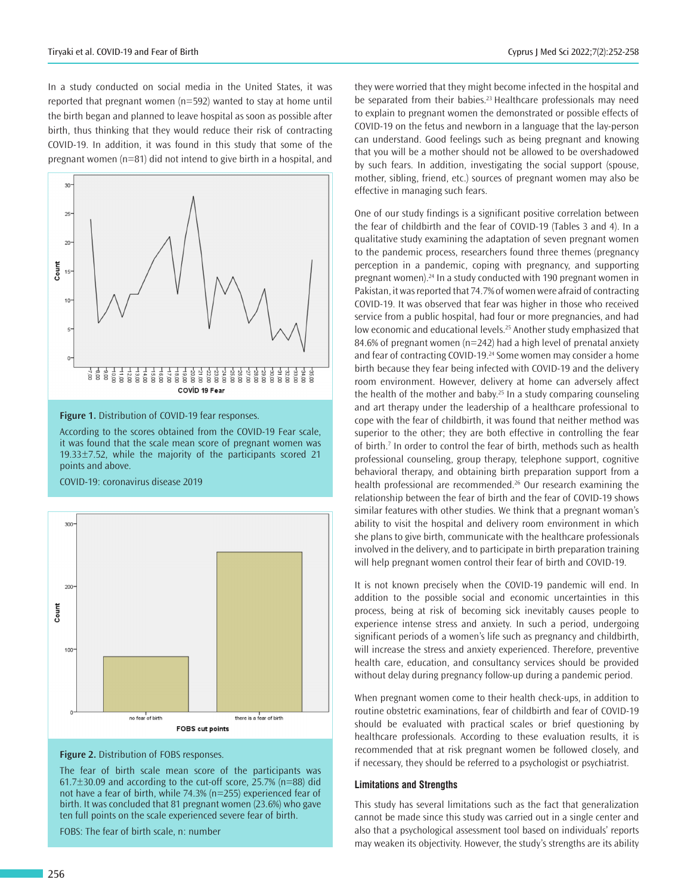In a study conducted on social media in the United States, it was reported that pregnant women (n=592) wanted to stay at home until the birth began and planned to leave hospital as soon as possible after birth, thus thinking that they would reduce their risk of contracting COVID-19. In addition, it was found in this study that some of the pregnant women (n=81) did not intend to give birth in a hospital, and



**Figure 1.** Distribution of COVID-19 fear responses.

According to the scores obtained from the COVID-19 Fear scale, it was found that the scale mean score of pregnant women was 19.33±7.52, while the majority of the participants scored 21 points and above.

COVID-19: coronavirus disease 2019





The fear of birth scale mean score of the participants was 61.7±30.09 and according to the cut-off score, 25.7% (n=88) did not have a fear of birth, while 74.3% (n=255) experienced fear of birth. It was concluded that 81 pregnant women (23.6%) who gave ten full points on the scale experienced severe fear of birth.

FOBS: The fear of birth scale, n: number

they were worried that they might become infected in the hospital and be separated from their babies.<sup>23</sup> Healthcare professionals may need to explain to pregnant women the demonstrated or possible effects of COVID-19 on the fetus and newborn in a language that the lay-person can understand. Good feelings such as being pregnant and knowing that you will be a mother should not be allowed to be overshadowed by such fears. In addition, investigating the social support (spouse, mother, sibling, friend, etc.) sources of pregnant women may also be effective in managing such fears.

One of our study findings is a significant positive correlation between the fear of childbirth and the fear of COVID-19 (Tables 3 and 4). In a qualitative study examining the adaptation of seven pregnant women to the pandemic process, researchers found three themes (pregnancy perception in a pandemic, coping with pregnancy, and supporting pregnant women).<sup>24</sup> In a study conducted with 190 pregnant women in Pakistan, it was reported that 74.7% of women were afraid of contracting COVID-19. It was observed that fear was higher in those who received service from a public hospital, had four or more pregnancies, and had low economic and educational levels.<sup>25</sup> Another study emphasized that 84.6% of pregnant women (n=242) had a high level of prenatal anxiety and fear of contracting COVID-19.<sup>24</sup> Some women may consider a home birth because they fear being infected with COVID-19 and the delivery room environment. However, delivery at home can adversely affect the health of the mother and baby. $25$  In a study comparing counseling and art therapy under the leadership of a healthcare professional to cope with the fear of childbirth, it was found that neither method was superior to the other; they are both effective in controlling the fear of birth.<sup>7</sup> In order to control the fear of birth, methods such as health professional counseling, group therapy, telephone support, cognitive behavioral therapy, and obtaining birth preparation support from a health professional are recommended.<sup>26</sup> Our research examining the relationship between the fear of birth and the fear of COVID-19 shows similar features with other studies. We think that a pregnant woman's ability to visit the hospital and delivery room environment in which she plans to give birth, communicate with the healthcare professionals involved in the delivery, and to participate in birth preparation training will help pregnant women control their fear of birth and COVID-19.

It is not known precisely when the COVID-19 pandemic will end. In addition to the possible social and economic uncertainties in this process, being at risk of becoming sick inevitably causes people to experience intense stress and anxiety. In such a period, undergoing significant periods of a women's life such as pregnancy and childbirth, will increase the stress and anxiety experienced. Therefore, preventive health care, education, and consultancy services should be provided without delay during pregnancy follow-up during a pandemic period.

When pregnant women come to their health check-ups, in addition to routine obstetric examinations, fear of childbirth and fear of COVID-19 should be evaluated with practical scales or brief questioning by healthcare professionals. According to these evaluation results, it is recommended that at risk pregnant women be followed closely, and if necessary, they should be referred to a psychologist or psychiatrist.

#### **Limitations and Strengths**

This study has several limitations such as the fact that generalization cannot be made since this study was carried out in a single center and also that a psychological assessment tool based on individuals' reports may weaken its objectivity. However, the study's strengths are its ability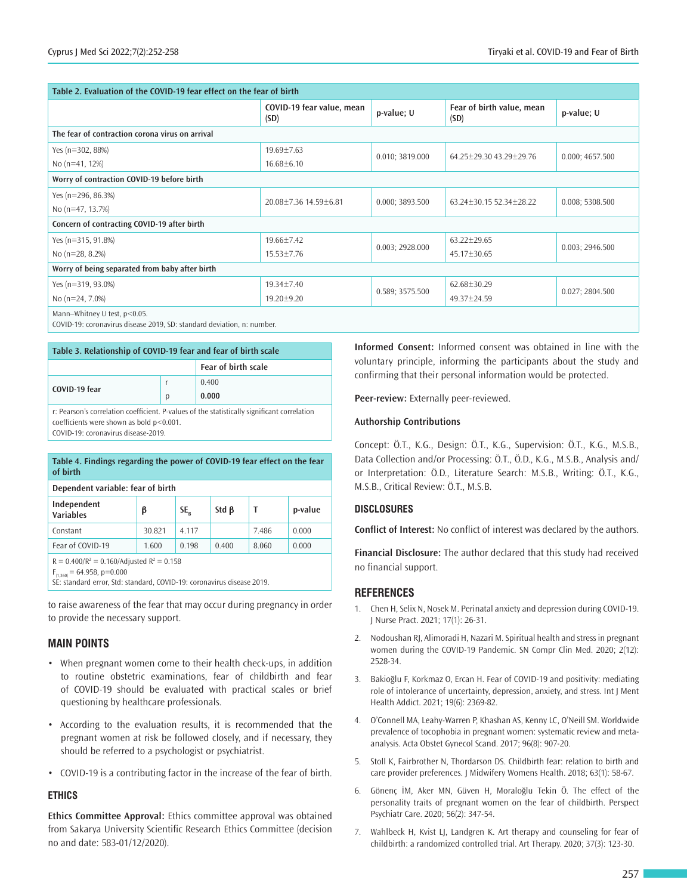| Table 2. Evaluation of the COVID-19 fear effect on the fear of birth                                   |                                          |                 |                                   |                 |  |  |  |  |
|--------------------------------------------------------------------------------------------------------|------------------------------------------|-----------------|-----------------------------------|-----------------|--|--|--|--|
|                                                                                                        | COVID-19 fear value, mean<br>(SD)        | p-value; U      | Fear of birth value, mean<br>(SD) | p-value; U      |  |  |  |  |
| The fear of contraction corona virus on arrival                                                        |                                          |                 |                                   |                 |  |  |  |  |
| Yes (n=302, 88%)                                                                                       | $19.69 \pm 7.63$                         | 0.010; 3819.000 | 64.25±29.30 43.29±29.76           | 0.000; 4657.500 |  |  |  |  |
| No (n=41, 12%)                                                                                         | $16.68 \pm 6.10$                         |                 |                                   |                 |  |  |  |  |
| Worry of contraction COVID-19 before birth                                                             |                                          |                 |                                   |                 |  |  |  |  |
| Yes (n=296, 86.3%)                                                                                     | 20.08±7.36 14.59±6.81<br>0.000; 3893.500 |                 | 63.24±30.15 52.34±28.22           | 0.008; 5308.500 |  |  |  |  |
| No (n=47, 13.7%)                                                                                       |                                          |                 |                                   |                 |  |  |  |  |
| Concern of contracting COVID-19 after birth                                                            |                                          |                 |                                   |                 |  |  |  |  |
| Yes ( $n=315, 91.8%$ )                                                                                 | 19.66±7.42                               | 0.003; 2928.000 | $63.22 \pm 29.65$                 | 0.003; 2946.500 |  |  |  |  |
| No $(n=28, 8.2%)$                                                                                      | $15.53 \pm 7.76$                         |                 | 45.17±30.65                       |                 |  |  |  |  |
| Worry of being separated from baby after birth                                                         |                                          |                 |                                   |                 |  |  |  |  |
| Yes (n=319, 93.0%)                                                                                     | 19.34±7.40                               | 0.589; 3575.500 | 62.68±30.29                       | 0.027; 2804.500 |  |  |  |  |
| No $(n=24, 7.0\%)$                                                                                     | $19.20 \pm 9.20$                         |                 | 49.37±24.59                       |                 |  |  |  |  |
| Mann-Whitney U test, p<0.05.<br>COVID-19: coronavirus disease 2019. SD: standard deviation. n: number. |                                          |                 |                                   |                 |  |  |  |  |

**Table 3. Relationship of COVID-19 fear and fear of birth scale Fear of birth scale COVID-19 fear** r p 0.400 **0.000** r: Pearson's correlation coefficient. P-values of the statistically significant correlation coefficients were shown as bold p<0.001.

COVID-19: coronavirus disease-2019.

| Table 4. Findings regarding the power of COVID-19 fear effect on the fear<br>of birth                                   |        |       |             |       |         |  |  |  |
|-------------------------------------------------------------------------------------------------------------------------|--------|-------|-------------|-------|---------|--|--|--|
| Dependent variable: fear of birth                                                                                       |        |       |             |       |         |  |  |  |
| Independent<br><b>Variables</b>                                                                                         | β      | SE,   | Std $\beta$ | Τ     | p-value |  |  |  |
| Constant                                                                                                                | 30.821 | 4.117 |             | 7.486 | 0.000   |  |  |  |
| Fear of COVID-19                                                                                                        | 1.600  | 0.198 | 0.400       | 8.060 | 0.000   |  |  |  |
| $R = 0.400/R^2 = 0.160/Ad$ justed $R^2 = 0.158$<br>$\Gamma = \Gamma A \cap \Gamma 0 \rightarrow \Gamma 0 \cap \Gamma 0$ |        |       |             |       |         |  |  |  |

 $F_{(1,360)} = 64.958, p=0.000$ 

SE: standard error, Std: standard, COVID-19: coronavirus disease 2019.

to raise awareness of the fear that may occur during pregnancy in order to provide the necessary support.

## **MAIN POINTS**

- When pregnant women come to their health check-ups, in addition to routine obstetric examinations, fear of childbirth and fear of COVID-19 should be evaluated with practical scales or brief questioning by healthcare professionals.
- According to the evaluation results, it is recommended that the pregnant women at risk be followed closely, and if necessary, they should be referred to a psychologist or psychiatrist.
- COVID-19 is a contributing factor in the increase of the fear of birth.

## **ETHICS**

**Ethics Committee Approval:** Ethics committee approval was obtained from Sakarya University Scientific Research Ethics Committee (decision no and date: 583-01/12/2020).

**Informed Consent:** Informed consent was obtained in line with the voluntary principle, informing the participants about the study and confirming that their personal information would be protected.

**Peer-review:** Externally peer-reviewed.

#### **Authorship Contributions**

Concept: Ö.T., K.G., Design: Ö.T., K.G., Supervision: Ö.T., K.G., M.S.B., Data Collection and/or Processing: Ö.T., Ö.D., K.G., M.S.B., Analysis and/ or Interpretation: Ö.D., Literature Search: M.S.B., Writing: Ö.T., K.G., M.S.B., Critical Review: Ö.T., M.S.B.

#### **DISCLOSURES**

**Conflict of Interest:** No conflict of interest was declared by the authors.

**Financial Disclosure:** The author declared that this study had received no financial support.

## **REFERENCES**

- 1. Chen H, Selix N, Nosek M. Perinatal anxiety and depression during COVID-19. J Nurse Pract. 2021; 17(1): 26-31.
- 2. Nodoushan RJ, Alimoradi H, Nazari M. Spiritual health and stress in pregnant women during the COVID-19 Pandemic. SN Compr Clin Med. 2020; 2(12): 2528-34.
- 3. Bakioğlu F, Korkmaz O, Ercan H. Fear of COVID-19 and positivity: mediating role of intolerance of uncertainty, depression, anxiety, and stress. Int J Ment Health Addict. 2021; 19(6): 2369-82.
- 4. O'Connell MA, Leahy-Warren P, Khashan AS, Kenny LC, O'Neill SM. Worldwide prevalence of tocophobia in pregnant women: systematic review and metaanalysis. Acta Obstet Gynecol Scand. 2017; 96(8): 907-20.
- 5. Stoll K, Fairbrother N, Thordarson DS. Childbirth fear: relation to birth and care provider preferences. J Midwifery Womens Health. 2018; 63(1): 58-67.
- 6. Gönenç İM, Aker MN, Güven H, Moraloğlu Tekin Ö. The effect of the personality traits of pregnant women on the fear of childbirth. Perspect Psychiatr Care. 2020; 56(2): 347-54.
- 7. Wahlbeck H, Kvist LJ, Landgren K. Art therapy and counseling for fear of childbirth: a randomized controlled trial. Art Therapy. 2020; 37(3): 123-30.